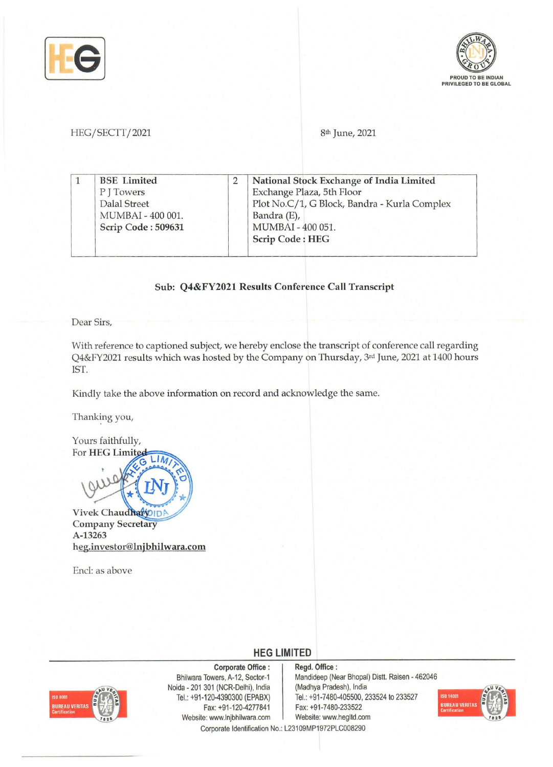



### *HEG/SECTT/2021* 8th June, 2021

|  | <b>BSE</b> Limited | National Stock Exchange of India Limited     |
|--|--------------------|----------------------------------------------|
|  | PITowers           | Exchange Plaza, 5th Floor                    |
|  | Dalal Street       | Plot No.C/1, G Block, Bandra - Kurla Complex |
|  | MUMBAI - 400 001.  | Bandra (E),                                  |
|  | Scrip Code: 509631 | MUMBAI - 400 051.                            |
|  |                    | <b>Scrip Code: HEG</b>                       |

### Sub: Q4&FY2021 Results Conference Call Transcript

Dear Sirs,

With reference to captioned subject, we hereby enclose the transcript of conference call regarding Q4&FY2021 results which was hosted by the Company on Thursday, 3rd June, 2021 at 1400 hours 1ST.

Kindly take the above information on record and acknowledge the same.

Thanking you,

Yours faithfully, For HEG Limited

Vivek Chaudhary Company Secretary A-13263 heg.investor@lnjbhilwara.com

LIM

End: as above

**HEG LIMITED** 



Corporate Office: Bhilwara Towers, A-12, Sector-1 Noida - 201 301 (NCR-Delhi), India Tel.: +91-120-4390300 (EPABX) Fax: +91-120-4277841 Website: www.lnjbhilwara.com

Regd. Office: Mandideep (Near Bhopal) Distt. Raisen - 462046 (Madhya Pradesh), India Tel.: +91-7480-405500, 233524 to 233527 Fax: +91-7480-233522



Corporate Identification No.: L23109MP1972PLC008290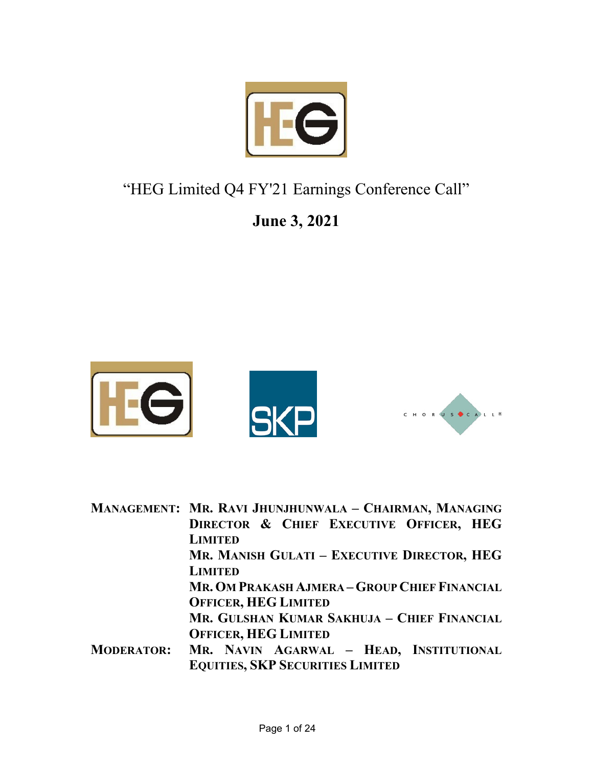

## "HEG Limited Q4 FY'21 Earnings Conference Call"

## **June 3, 2021**



**MANAGEMENT: MR. RAVI JHUNJHUNWALA – CHAIRMAN, MANAGING DIRECTOR & CHIEF EXECUTIVE OFFICER, HEG LIMITED MR. MANISH GULATI – EXECUTIVE DIRECTOR, HEG LIMITED MR. OM PRAKASH AJMERA – GROUP CHIEF FINANCIAL OFFICER, HEG LIMITED MR. GULSHAN KUMAR SAKHUJA – CHIEF FINANCIAL OFFICER, HEG LIMITED MODERATOR: MR. NAVIN AGARWAL – HEAD, INSTITUTIONAL EQUITIES, SKP SECURITIES LIMITED**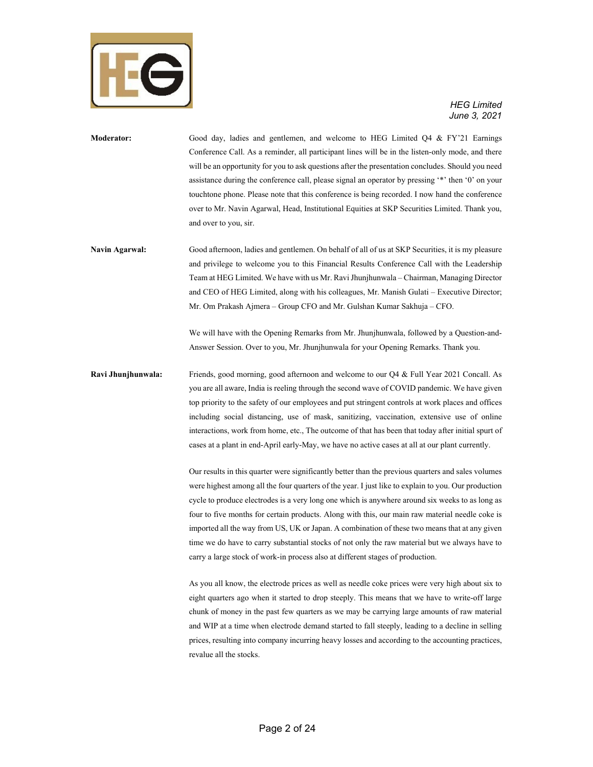

- **Moderator:** Good day, ladies and gentlemen, and welcome to HEG Limited Q4 & FY'21 Earnings Conference Call. As a reminder, all participant lines will be in the listen-only mode, and there will be an opportunity for you to ask questions after the presentation concludes. Should you need assistance during the conference call, please signal an operator by pressing '\*' then '0' on your touchtone phone. Please note that this conference is being recorded. I now hand the conference over to Mr. Navin Agarwal, Head, Institutional Equities at SKP Securities Limited. Thank you, and over to you, sir.
- **Navin Agarwal:** Good afternoon, ladies and gentlemen. On behalf of all of us at SKP Securities, it is my pleasure and privilege to welcome you to this Financial Results Conference Call with the Leadership Team at HEG Limited. We have with us Mr. Ravi Jhunjhunwala – Chairman, Managing Director and CEO of HEG Limited, along with his colleagues, Mr. Manish Gulati – Executive Director; Mr. Om Prakash Ajmera – Group CFO and Mr. Gulshan Kumar Sakhuja – CFO.

 We will have with the Opening Remarks from Mr. Jhunjhunwala, followed by a Question-and-Answer Session. Over to you, Mr. Jhunjhunwala for your Opening Remarks. Thank you.

**Ravi Jhunjhunwala:** Friends, good morning, good afternoon and welcome to our Q4 & Full Year 2021 Concall. As you are all aware, India is reeling through the second wave of COVID pandemic. We have given top priority to the safety of our employees and put stringent controls at work places and offices including social distancing, use of mask, sanitizing, vaccination, extensive use of online interactions, work from home, etc., The outcome of that has been that today after initial spurt of cases at a plant in end-April early-May, we have no active cases at all at our plant currently.

> Our results in this quarter were significantly better than the previous quarters and sales volumes were highest among all the four quarters of the year. I just like to explain to you. Our production cycle to produce electrodes is a very long one which is anywhere around six weeks to as long as four to five months for certain products. Along with this, our main raw material needle coke is imported all the way from US, UK or Japan. A combination of these two means that at any given time we do have to carry substantial stocks of not only the raw material but we always have to carry a large stock of work-in process also at different stages of production.

> As you all know, the electrode prices as well as needle coke prices were very high about six to eight quarters ago when it started to drop steeply. This means that we have to write-off large chunk of money in the past few quarters as we may be carrying large amounts of raw material and WIP at a time when electrode demand started to fall steeply, leading to a decline in selling prices, resulting into company incurring heavy losses and according to the accounting practices, revalue all the stocks.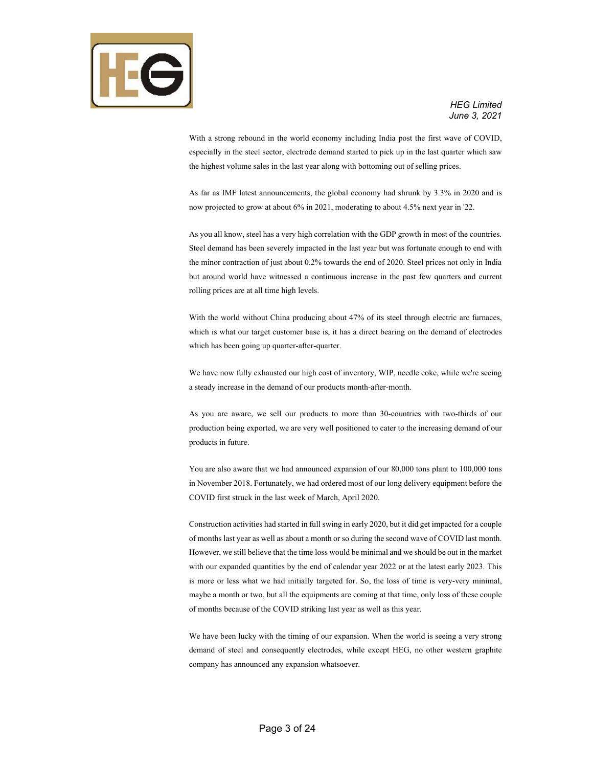

With a strong rebound in the world economy including India post the first wave of COVID, especially in the steel sector, electrode demand started to pick up in the last quarter which saw the highest volume sales in the last year along with bottoming out of selling prices.

As far as IMF latest announcements, the global economy had shrunk by 3.3% in 2020 and is now projected to grow at about 6% in 2021, moderating to about 4.5% next year in '22.

As you all know, steel has a very high correlation with the GDP growth in most of the countries. Steel demand has been severely impacted in the last year but was fortunate enough to end with the minor contraction of just about 0.2% towards the end of 2020. Steel prices not only in India but around world have witnessed a continuous increase in the past few quarters and current rolling prices are at all time high levels.

With the world without China producing about 47% of its steel through electric arc furnaces, which is what our target customer base is, it has a direct bearing on the demand of electrodes which has been going up quarter-after-quarter.

We have now fully exhausted our high cost of inventory, WIP, needle coke, while we're seeing a steady increase in the demand of our products month-after-month.

As you are aware, we sell our products to more than 30-countries with two-thirds of our production being exported, we are very well positioned to cater to the increasing demand of our products in future.

You are also aware that we had announced expansion of our 80,000 tons plant to 100,000 tons in November 2018. Fortunately, we had ordered most of our long delivery equipment before the COVID first struck in the last week of March, April 2020.

Construction activities had started in full swing in early 2020, but it did get impacted for a couple of months last year as well as about a month or so during the second wave of COVID last month. However, we still believe that the time loss would be minimal and we should be out in the market with our expanded quantities by the end of calendar year 2022 or at the latest early 2023. This is more or less what we had initially targeted for. So, the loss of time is very-very minimal, maybe a month or two, but all the equipments are coming at that time, only loss of these couple of months because of the COVID striking last year as well as this year.

We have been lucky with the timing of our expansion. When the world is seeing a very strong demand of steel and consequently electrodes, while except HEG, no other western graphite company has announced any expansion whatsoever.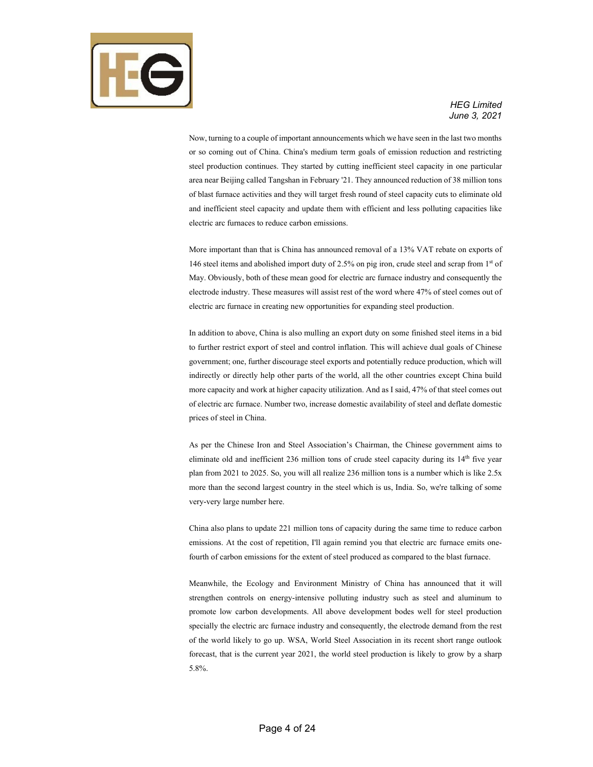

Now, turning to a couple of important announcements which we have seen in the last two months or so coming out of China. China's medium term goals of emission reduction and restricting steel production continues. They started by cutting inefficient steel capacity in one particular area near Beijing called Tangshan in February '21. They announced reduction of 38 million tons of blast furnace activities and they will target fresh round of steel capacity cuts to eliminate old and inefficient steel capacity and update them with efficient and less polluting capacities like electric arc furnaces to reduce carbon emissions.

More important than that is China has announced removal of a 13% VAT rebate on exports of 146 steel items and abolished import duty of 2.5% on pig iron, crude steel and scrap from 1st of May. Obviously, both of these mean good for electric arc furnace industry and consequently the electrode industry. These measures will assist rest of the word where 47% of steel comes out of electric arc furnace in creating new opportunities for expanding steel production.

In addition to above, China is also mulling an export duty on some finished steel items in a bid to further restrict export of steel and control inflation. This will achieve dual goals of Chinese government; one, further discourage steel exports and potentially reduce production, which will indirectly or directly help other parts of the world, all the other countries except China build more capacity and work at higher capacity utilization. And as I said, 47% of that steel comes out of electric arc furnace. Number two, increase domestic availability of steel and deflate domestic prices of steel in China.

As per the Chinese Iron and Steel Association's Chairman, the Chinese government aims to eliminate old and inefficient 236 million tons of crude steel capacity during its 14<sup>th</sup> five year plan from 2021 to 2025. So, you will all realize 236 million tons is a number which is like 2.5x more than the second largest country in the steel which is us, India. So, we're talking of some very-very large number here.

China also plans to update 221 million tons of capacity during the same time to reduce carbon emissions. At the cost of repetition, I'll again remind you that electric arc furnace emits onefourth of carbon emissions for the extent of steel produced as compared to the blast furnace.

Meanwhile, the Ecology and Environment Ministry of China has announced that it will strengthen controls on energy-intensive polluting industry such as steel and aluminum to promote low carbon developments. All above development bodes well for steel production specially the electric arc furnace industry and consequently, the electrode demand from the rest of the world likely to go up. WSA, World Steel Association in its recent short range outlook forecast, that is the current year 2021, the world steel production is likely to grow by a sharp 5.8%.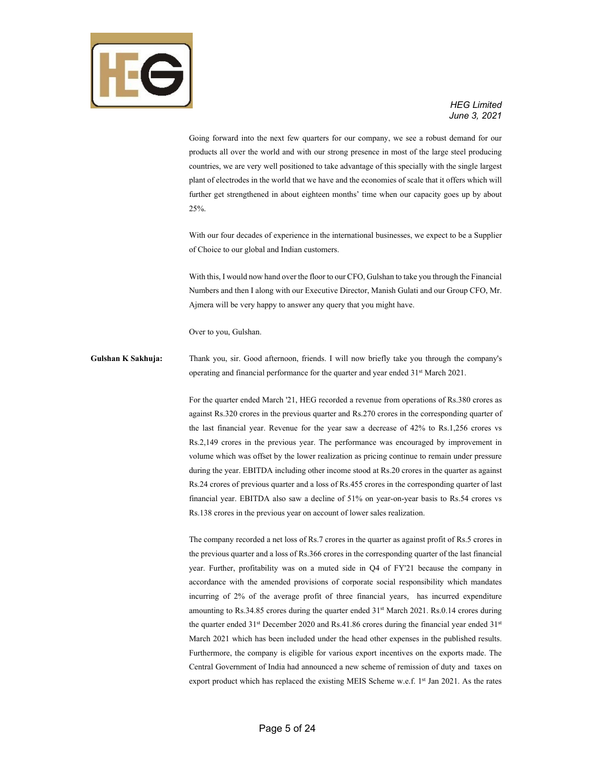

Going forward into the next few quarters for our company, we see a robust demand for our products all over the world and with our strong presence in most of the large steel producing countries, we are very well positioned to take advantage of this specially with the single largest plant of electrodes in the world that we have and the economies of scale that it offers which will further get strengthened in about eighteen months' time when our capacity goes up by about 25%.

With our four decades of experience in the international businesses, we expect to be a Supplier of Choice to our global and Indian customers.

With this, I would now hand over the floor to our CFO, Gulshan to take you through the Financial Numbers and then I along with our Executive Director, Manish Gulati and our Group CFO, Mr. Ajmera will be very happy to answer any query that you might have.

Over to you, Gulshan.

**Gulshan K Sakhuja:** Thank you, sir. Good afternoon, friends. I will now briefly take you through the company's operating and financial performance for the quarter and year ended 31<sup>st</sup> March 2021.

> For the quarter ended March '21, HEG recorded a revenue from operations of Rs.380 crores as against Rs.320 crores in the previous quarter and Rs.270 crores in the corresponding quarter of the last financial year. Revenue for the year saw a decrease of 42% to Rs.1,256 crores vs Rs.2,149 crores in the previous year. The performance was encouraged by improvement in volume which was offset by the lower realization as pricing continue to remain under pressure during the year. EBITDA including other income stood at Rs.20 crores in the quarter as against Rs.24 crores of previous quarter and a loss of Rs.455 crores in the corresponding quarter of last financial year. EBITDA also saw a decline of 51% on year-on-year basis to Rs.54 crores vs Rs.138 crores in the previous year on account of lower sales realization.

> The company recorded a net loss of Rs.7 crores in the quarter as against profit of Rs.5 crores in the previous quarter and a loss of Rs.366 crores in the corresponding quarter of the last financial year. Further, profitability was on a muted side in Q4 of FY'21 because the company in accordance with the amended provisions of corporate social responsibility which mandates incurring of 2% of the average profit of three financial years, has incurred expenditure amounting to Rs.34.85 crores during the quarter ended 31st March 2021. Rs.0.14 crores during the quarter ended 31<sup>st</sup> December 2020 and Rs.41.86 crores during the financial year ended 31<sup>st</sup> March 2021 which has been included under the head other expenses in the published results. Furthermore, the company is eligible for various export incentives on the exports made. The Central Government of India had announced a new scheme of remission of duty and taxes on export product which has replaced the existing MEIS Scheme w.e.f. 1<sup>st</sup> Jan 2021. As the rates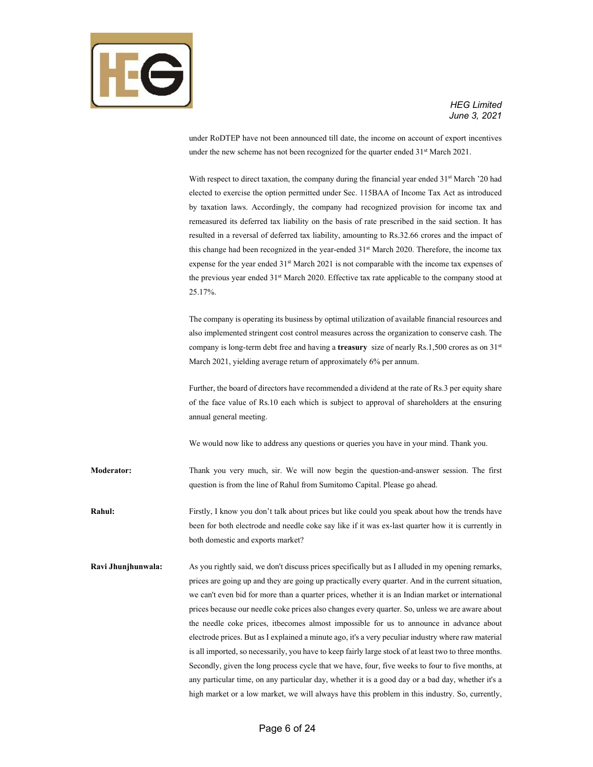

under RoDTEP have not been announced till date, the income on account of export incentives under the new scheme has not been recognized for the quarter ended 31<sup>st</sup> March 2021.

With respect to direct taxation, the company during the financial year ended 31<sup>st</sup> March '20 had elected to exercise the option permitted under Sec. 115BAA of Income Tax Act as introduced by taxation laws. Accordingly, the company had recognized provision for income tax and remeasured its deferred tax liability on the basis of rate prescribed in the said section. It has resulted in a reversal of deferred tax liability, amounting to Rs.32.66 crores and the impact of this change had been recognized in the year-ended 31<sup>st</sup> March 2020. Therefore, the income tax expense for the year ended 31<sup>st</sup> March 2021 is not comparable with the income tax expenses of the previous year ended 31<sup>st</sup> March 2020. Effective tax rate applicable to the company stood at 25.17%.

The company is operating its business by optimal utilization of available financial resources and also implemented stringent cost control measures across the organization to conserve cash. The company is long-term debt free and having a **treasury** size of nearly Rs.1,500 crores as on 31<sup>st</sup> March 2021, yielding average return of approximately 6% per annum.

Further, the board of directors have recommended a dividend at the rate of Rs.3 per equity share of the face value of Rs.10 each which is subject to approval of shareholders at the ensuring annual general meeting.

We would now like to address any questions or queries you have in your mind. Thank you.

**Moderator:** Thank you very much, sir. We will now begin the question-and-answer session. The first question is from the line of Rahul from Sumitomo Capital. Please go ahead.

**Rahul:** Firstly, I know you don't talk about prices but like could you speak about how the trends have been for both electrode and needle coke say like if it was ex-last quarter how it is currently in both domestic and exports market?

**Ravi Jhunjhunwala:** As you rightly said, we don't discuss prices specifically but as I alluded in my opening remarks, prices are going up and they are going up practically every quarter. And in the current situation, we can't even bid for more than a quarter prices, whether it is an Indian market or international prices because our needle coke prices also changes every quarter. So, unless we are aware about the needle coke prices, itbecomes almost impossible for us to announce in advance about electrode prices. But as I explained a minute ago, it's a very peculiar industry where raw material is all imported, so necessarily, you have to keep fairly large stock of at least two to three months. Secondly, given the long process cycle that we have, four, five weeks to four to five months, at any particular time, on any particular day, whether it is a good day or a bad day, whether it's a high market or a low market, we will always have this problem in this industry. So, currently,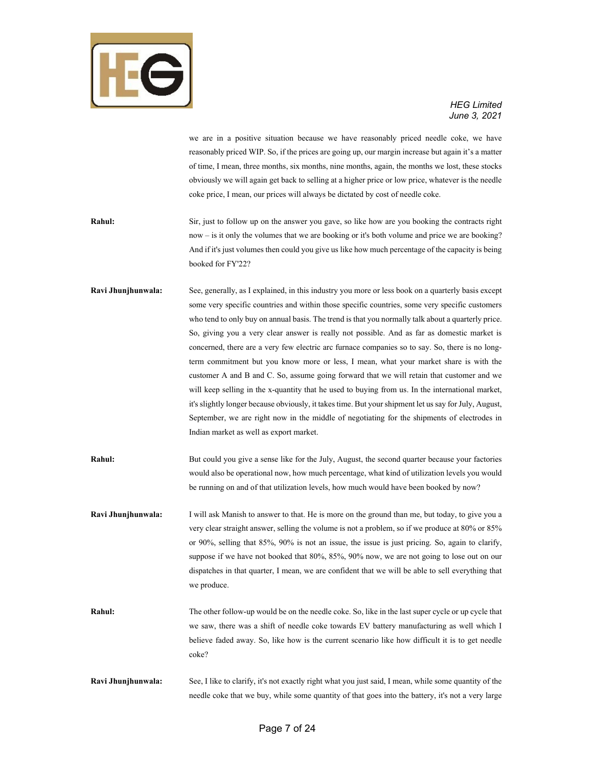

we are in a positive situation because we have reasonably priced needle coke, we have reasonably priced WIP. So, if the prices are going up, our margin increase but again it's a matter of time, I mean, three months, six months, nine months, again, the months we lost, these stocks obviously we will again get back to selling at a higher price or low price, whatever is the needle coke price, I mean, our prices will always be dictated by cost of needle coke.

- **Rahul:** Sir, just to follow up on the answer you gave, so like how are you booking the contracts right now – is it only the volumes that we are booking or it's both volume and price we are booking? And if it's just volumes then could you give us like how much percentage of the capacity is being booked for FY'22?
- **Ravi Jhunjhunwala:** See, generally, as I explained, in this industry you more or less book on a quarterly basis except some very specific countries and within those specific countries, some very specific customers who tend to only buy on annual basis. The trend is that you normally talk about a quarterly price. So, giving you a very clear answer is really not possible. And as far as domestic market is concerned, there are a very few electric arc furnace companies so to say. So, there is no longterm commitment but you know more or less, I mean, what your market share is with the customer A and B and C. So, assume going forward that we will retain that customer and we will keep selling in the x-quantity that he used to buying from us. In the international market, it's slightly longer because obviously, it takes time. But your shipment let us say for July, August, September, we are right now in the middle of negotiating for the shipments of electrodes in Indian market as well as export market.
- **Rahul:** But could you give a sense like for the July, August, the second quarter because your factories would also be operational now, how much percentage, what kind of utilization levels you would be running on and of that utilization levels, how much would have been booked by now?
- **Ravi Jhunjhunwala:** I will ask Manish to answer to that. He is more on the ground than me, but today, to give you a very clear straight answer, selling the volume is not a problem, so if we produce at 80% or 85% or 90%, selling that 85%, 90% is not an issue, the issue is just pricing. So, again to clarify, suppose if we have not booked that 80%, 85%, 90% now, we are not going to lose out on our dispatches in that quarter, I mean, we are confident that we will be able to sell everything that we produce.
- **Rahul:** The other follow-up would be on the needle coke. So, like in the last super cycle or up cycle that we saw, there was a shift of needle coke towards EV battery manufacturing as well which I believe faded away. So, like how is the current scenario like how difficult it is to get needle coke?
- **Ravi Jhunjhunwala:** See, I like to clarify, it's not exactly right what you just said, I mean, while some quantity of the needle coke that we buy, while some quantity of that goes into the battery, it's not a very large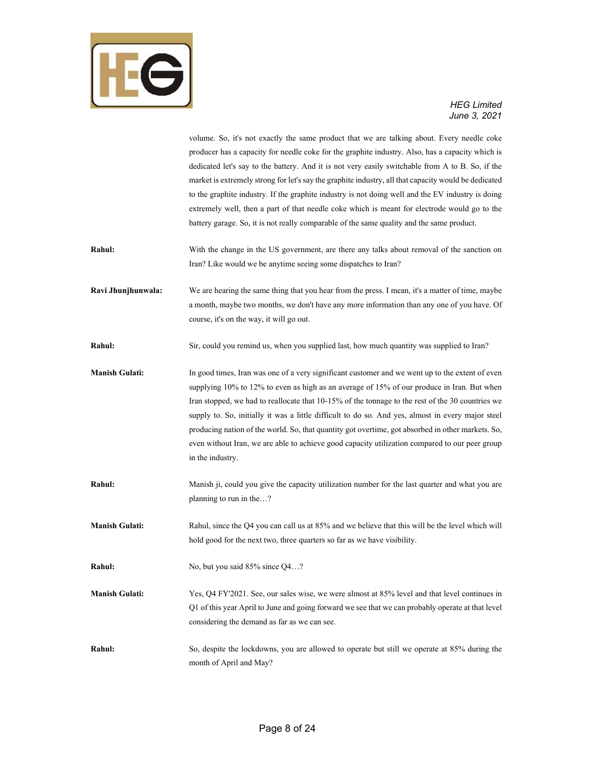

# *June 3, 2021*

|                       | volume. So, it's not exactly the same product that we are talking about. Every needle coke<br>producer has a capacity for needle coke for the graphite industry. Also, has a capacity which is |
|-----------------------|------------------------------------------------------------------------------------------------------------------------------------------------------------------------------------------------|
|                       | dedicated let's say to the battery. And it is not very easily switchable from A to B. So, if the                                                                                               |
|                       | market is extremely strong for let's say the graphite industry, all that capacity would be dedicated                                                                                           |
|                       | to the graphite industry. If the graphite industry is not doing well and the EV industry is doing                                                                                              |
|                       | extremely well, then a part of that needle coke which is meant for electrode would go to the                                                                                                   |
|                       | battery garage. So, it is not really comparable of the same quality and the same product.                                                                                                      |
| Rahul:                | With the change in the US government, are there any talks about removal of the sanction on                                                                                                     |
|                       | Iran? Like would we be anytime seeing some dispatches to Iran?                                                                                                                                 |
| Ravi Jhunjhunwala:    | We are hearing the same thing that you hear from the press. I mean, it's a matter of time, maybe                                                                                               |
|                       | a month, maybe two months, we don't have any more information than any one of you have. Of                                                                                                     |
|                       | course, it's on the way, it will go out.                                                                                                                                                       |
| Rahul:                | Sir, could you remind us, when you supplied last, how much quantity was supplied to Iran?                                                                                                      |
| <b>Manish Gulati:</b> | In good times, Iran was one of a very significant customer and we went up to the extent of even                                                                                                |
|                       | supplying 10% to 12% to even as high as an average of 15% of our produce in Iran. But when                                                                                                     |
|                       | Iran stopped, we had to reallocate that 10-15% of the tonnage to the rest of the 30 countries we                                                                                               |
|                       | supply to. So, initially it was a little difficult to do so. And yes, almost in every major steel                                                                                              |
|                       | producing nation of the world. So, that quantity got overtime, got absorbed in other markets. So,                                                                                              |
|                       | even without Iran, we are able to achieve good capacity utilization compared to our peer group                                                                                                 |
|                       | in the industry.                                                                                                                                                                               |
| Rahul:                | Manish ji, could you give the capacity utilization number for the last quarter and what you are                                                                                                |
|                       | planning to run in the?                                                                                                                                                                        |
| <b>Manish Gulati:</b> | Rahul, since the Q4 you can call us at 85% and we believe that this will be the level which will                                                                                               |
|                       | hold good for the next two, three quarters so far as we have visibility.                                                                                                                       |
| Rahul:                | No, but you said 85% since Q4?                                                                                                                                                                 |
| <b>Manish Gulati:</b> | Yes, Q4 FY'2021. See, our sales wise, we were almost at 85% level and that level continues in                                                                                                  |
|                       | Q1 of this year April to June and going forward we see that we can probably operate at that level                                                                                              |
|                       | considering the demand as far as we can see.                                                                                                                                                   |
| Rahul:                | So, despite the lockdowns, you are allowed to operate but still we operate at 85% during the                                                                                                   |
|                       | month of April and May?                                                                                                                                                                        |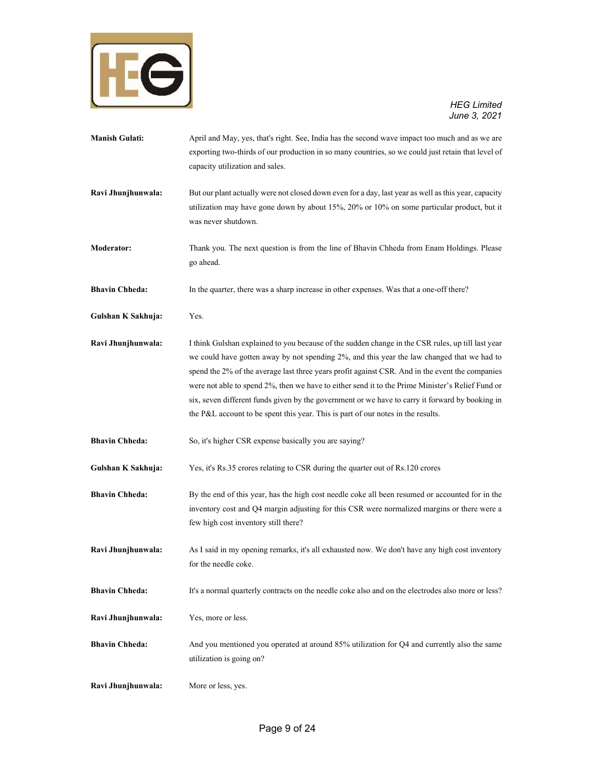

- **Manish Gulati:** April and May, yes, that's right. See, India has the second wave impact too much and as we are exporting two-thirds of our production in so many countries, so we could just retain that level of capacity utilization and sales. **Ravi Jhunjhunwala:** But our plant actually were not closed down even for a day, last year as well as this year, capacity utilization may have gone down by about 15%, 20% or 10% on some particular product, but it was never shutdown. **Moderator:** Thank you. The next question is from the line of Bhavin Chheda from Enam Holdings. Please go ahead. **Bhavin Chheda:** In the quarter, there was a sharp increase in other expenses. Was that a one-off there? **Gulshan K Sakhuja:** Yes. **Ravi Jhunjhunwala:** I think Gulshan explained to you because of the sudden change in the CSR rules, up till last year we could have gotten away by not spending 2%, and this year the law changed that we had to spend the 2% of the average last three years profit against CSR. And in the event the companies were not able to spend 2%, then we have to either send it to the Prime Minister's Relief Fund or six, seven different funds given by the government or we have to carry it forward by booking in the P&L account to be spent this year. This is part of our notes in the results. **Bhavin Chheda:** So, it's higher CSR expense basically you are saying? **Gulshan K Sakhuja:** Yes, it's Rs.35 crores relating to CSR during the quarter out of Rs.120 crores **Bhavin Chheda:** By the end of this year, has the high cost needle coke all been resumed or accounted for in the inventory cost and Q4 margin adjusting for this CSR were normalized margins or there were a few high cost inventory still there? **Ravi Jhunjhunwala:** As I said in my opening remarks, it's all exhausted now. We don't have any high cost inventory for the needle coke. **Bhavin Chheda:** It's a normal quarterly contracts on the needle coke also and on the electrodes also more or less? **Ravi Jhunjhunwala:** Yes, more or less. **Bhavin Chheda:** And you mentioned you operated at around 85% utilization for Q4 and currently also the same utilization is going on?
- **Ravi Jhunjhunwala:** More or less, yes.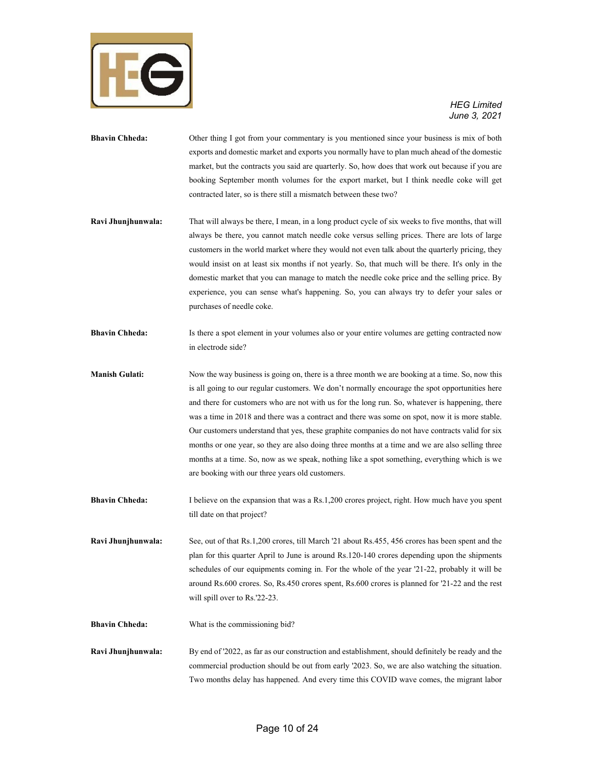

- **Bhavin Chheda:** Other thing I got from your commentary is you mentioned since your business is mix of both exports and domestic market and exports you normally have to plan much ahead of the domestic market, but the contracts you said are quarterly. So, how does that work out because if you are booking September month volumes for the export market, but I think needle coke will get contracted later, so is there still a mismatch between these two?
- **Ravi Jhunjhunwala:** That will always be there, I mean, in a long product cycle of six weeks to five months, that will always be there, you cannot match needle coke versus selling prices. There are lots of large customers in the world market where they would not even talk about the quarterly pricing, they would insist on at least six months if not yearly. So, that much will be there. It's only in the domestic market that you can manage to match the needle coke price and the selling price. By experience, you can sense what's happening. So, you can always try to defer your sales or purchases of needle coke.
- **Bhavin Chheda:** Is there a spot element in your volumes also or your entire volumes are getting contracted now in electrode side?
- **Manish Gulati:** Now the way business is going on, there is a three month we are booking at a time. So, now this is all going to our regular customers. We don't normally encourage the spot opportunities here and there for customers who are not with us for the long run. So, whatever is happening, there was a time in 2018 and there was a contract and there was some on spot, now it is more stable. Our customers understand that yes, these graphite companies do not have contracts valid for six months or one year, so they are also doing three months at a time and we are also selling three months at a time. So, now as we speak, nothing like a spot something, everything which is we are booking with our three years old customers.
- **Bhavin Chheda:** I believe on the expansion that was a Rs.1,200 crores project, right. How much have you spent till date on that project?
- **Ravi Jhunjhunwala:** See, out of that Rs.1,200 crores, till March '21 about Rs.455, 456 crores has been spent and the plan for this quarter April to June is around Rs.120-140 crores depending upon the shipments schedules of our equipments coming in. For the whole of the year '21-22, probably it will be around Rs.600 crores. So, Rs.450 crores spent, Rs.600 crores is planned for '21-22 and the rest will spill over to Rs.'22-23.
- **Bhavin Chheda:** What is the commissioning bid?
- **Ravi Jhunjhunwala:** By end of '2022, as far as our construction and establishment, should definitely be ready and the commercial production should be out from early '2023. So, we are also watching the situation. Two months delay has happened. And every time this COVID wave comes, the migrant labor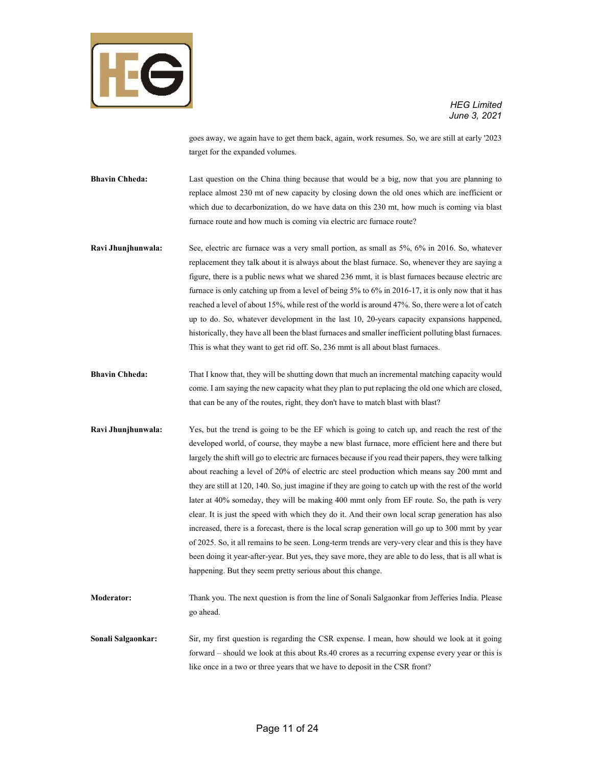

goes away, we again have to get them back, again, work resumes. So, we are still at early '2023 target for the expanded volumes.

**Bhavin Chheda:** Last question on the China thing because that would be a big, now that you are planning to replace almost 230 mt of new capacity by closing down the old ones which are inefficient or which due to decarbonization, do we have data on this 230 mt, how much is coming via blast furnace route and how much is coming via electric arc furnace route?

- **Ravi Jhunjhunwala:** See, electric arc furnace was a very small portion, as small as 5%, 6% in 2016. So, whatever replacement they talk about it is always about the blast furnace. So, whenever they are saying a figure, there is a public news what we shared 236 mmt, it is blast furnaces because electric arc furnace is only catching up from a level of being 5% to 6% in 2016-17, it is only now that it has reached a level of about 15%, while rest of the world is around 47%. So, there were a lot of catch up to do. So, whatever development in the last 10, 20-years capacity expansions happened, historically, they have all been the blast furnaces and smaller inefficient polluting blast furnaces. This is what they want to get rid off. So, 236 mmt is all about blast furnaces.
- **Bhavin Chheda:** That I know that, they will be shutting down that much an incremental matching capacity would come. I am saying the new capacity what they plan to put replacing the old one which are closed, that can be any of the routes, right, they don't have to match blast with blast?
- **Ravi Jhunjhunwala:** Yes, but the trend is going to be the EF which is going to catch up, and reach the rest of the developed world, of course, they maybe a new blast furnace, more efficient here and there but largely the shift will go to electric arc furnaces because if you read their papers, they were talking about reaching a level of 20% of electric arc steel production which means say 200 mmt and they are still at 120, 140. So, just imagine if they are going to catch up with the rest of the world later at 40% someday, they will be making 400 mmt only from EF route. So, the path is very clear. It is just the speed with which they do it. And their own local scrap generation has also increased, there is a forecast, there is the local scrap generation will go up to 300 mmt by year of 2025. So, it all remains to be seen. Long-term trends are very-very clear and this is they have been doing it year-after-year. But yes, they save more, they are able to do less, that is all what is happening. But they seem pretty serious about this change.
- **Moderator:** Thank you. The next question is from the line of Sonali Salgaonkar from Jefferies India. Please go ahead.

**Sonali Salgaonkar:** Sir, my first question is regarding the CSR expense. I mean, how should we look at it going forward – should we look at this about Rs.40 crores as a recurring expense every year or this is like once in a two or three years that we have to deposit in the CSR front?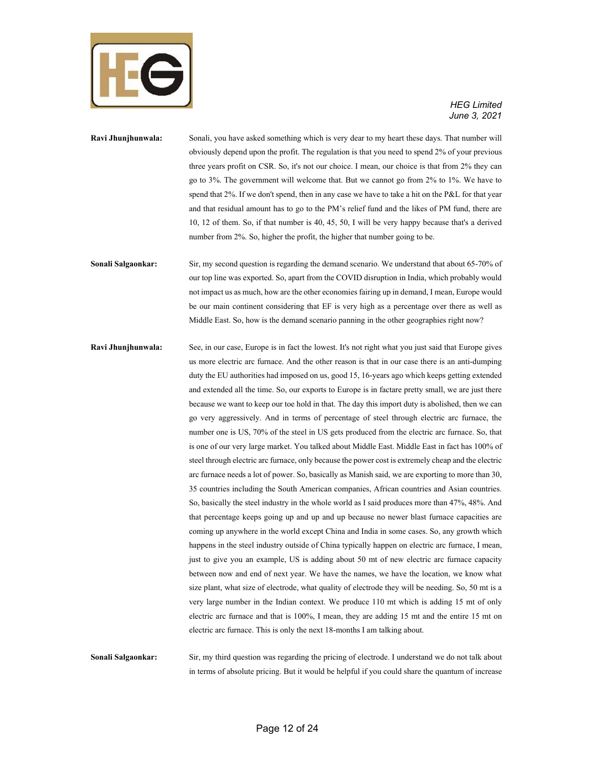

**Ravi Jhunjhunwala:** Sonali, you have asked something which is very dear to my heart these days. That number will obviously depend upon the profit. The regulation is that you need to spend 2% of your previous three years profit on CSR. So, it's not our choice. I mean, our choice is that from 2% they can go to 3%. The government will welcome that. But we cannot go from 2% to 1%. We have to spend that 2%. If we don't spend, then in any case we have to take a hit on the P&L for that year and that residual amount has to go to the PM's relief fund and the likes of PM fund, there are 10, 12 of them. So, if that number is 40, 45, 50, I will be very happy because that's a derived number from 2%. So, higher the profit, the higher that number going to be.

**Sonali Salgaonkar:** Sir, my second question is regarding the demand scenario. We understand that about 65-70% of our top line was exported. So, apart from the COVID disruption in India, which probably would not impact us as much, how are the other economies fairing up in demand, I mean, Europe would be our main continent considering that EF is very high as a percentage over there as well as Middle East. So, how is the demand scenario panning in the other geographies right now?

**Ravi Jhunjhunwala:** See, in our case, Europe is in fact the lowest. It's not right what you just said that Europe gives us more electric arc furnace. And the other reason is that in our case there is an anti-dumping duty the EU authorities had imposed on us, good 15, 16-years ago which keeps getting extended and extended all the time. So, our exports to Europe is in factare pretty small, we are just there because we want to keep our toe hold in that. The day this import duty is abolished, then we can go very aggressively. And in terms of percentage of steel through electric arc furnace, the number one is US, 70% of the steel in US gets produced from the electric arc furnace. So, that is one of our very large market. You talked about Middle East. Middle East in fact has 100% of steel through electric arc furnace, only because the power cost is extremely cheap and the electric arc furnace needs a lot of power. So, basically as Manish said, we are exporting to more than 30, 35 countries including the South American companies, African countries and Asian countries. So, basically the steel industry in the whole world as I said produces more than 47%, 48%. And that percentage keeps going up and up and up because no newer blast furnace capacities are coming up anywhere in the world except China and India in some cases. So, any growth which happens in the steel industry outside of China typically happen on electric arc furnace, I mean, just to give you an example, US is adding about 50 mt of new electric arc furnace capacity between now and end of next year. We have the names, we have the location, we know what size plant, what size of electrode, what quality of electrode they will be needing. So, 50 mt is a very large number in the Indian context. We produce 110 mt which is adding 15 mt of only electric arc furnace and that is 100%, I mean, they are adding 15 mt and the entire 15 mt on electric arc furnace. This is only the next 18-months I am talking about.

**Sonali Salgaonkar:** Sir, my third question was regarding the pricing of electrode. I understand we do not talk about in terms of absolute pricing. But it would be helpful if you could share the quantum of increase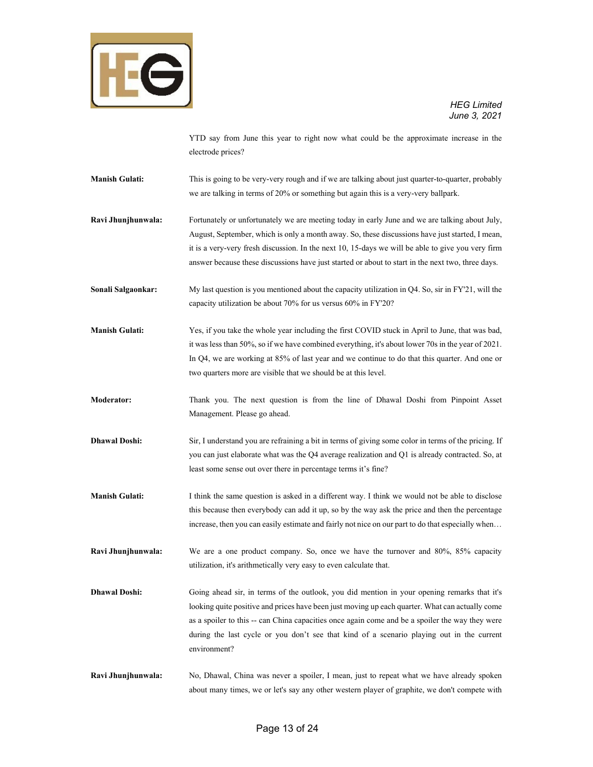

YTD say from June this year to right now what could be the approximate increase in the electrode prices?

**Manish Gulati:** This is going to be very-very rough and if we are talking about just quarter-to-quarter, probably we are talking in terms of 20% or something but again this is a very-very ballpark.

**Ravi Jhunjhunwala:** Fortunately or unfortunately we are meeting today in early June and we are talking about July, August, September, which is only a month away. So, these discussions have just started, I mean, it is a very-very fresh discussion. In the next 10, 15-days we will be able to give you very firm answer because these discussions have just started or about to start in the next two, three days.

**Sonali Salgaonkar:** My last question is you mentioned about the capacity utilization in Q4. So, sir in FY'21, will the capacity utilization be about 70% for us versus 60% in FY'20?

**Manish Gulati:** Yes, if you take the whole year including the first COVID stuck in April to June, that was bad, it was less than 50%, so if we have combined everything, it's about lower 70s in the year of 2021. In Q4, we are working at 85% of last year and we continue to do that this quarter. And one or two quarters more are visible that we should be at this level.

**Moderator:** Thank you. The next question is from the line of Dhawal Doshi from Pinpoint Asset Management. Please go ahead.

**Dhawal Doshi:** Sir, I understand you are refraining a bit in terms of giving some color in terms of the pricing. If you can just elaborate what was the Q4 average realization and Q1 is already contracted. So, at least some sense out over there in percentage terms it's fine?

**Manish Gulati:** I think the same question is asked in a different way. I think we would not be able to disclose this because then everybody can add it up, so by the way ask the price and then the percentage increase, then you can easily estimate and fairly not nice on our part to do that especially when…

**Ravi Jhunjhunwala:** We are a one product company. So, once we have the turnover and 80%, 85% capacity utilization, it's arithmetically very easy to even calculate that.

**Dhawal Doshi:** Going ahead sir, in terms of the outlook, you did mention in your opening remarks that it's looking quite positive and prices have been just moving up each quarter. What can actually come as a spoiler to this -- can China capacities once again come and be a spoiler the way they were during the last cycle or you don't see that kind of a scenario playing out in the current environment?

**Ravi Jhunjhunwala:** No, Dhawal, China was never a spoiler, I mean, just to repeat what we have already spoken about many times, we or let's say any other western player of graphite, we don't compete with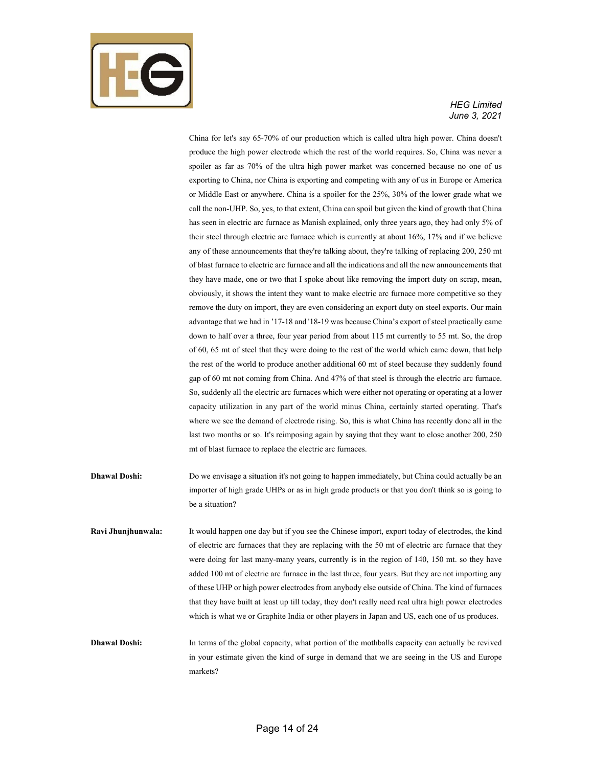

China for let's say 65-70% of our production which is called ultra high power. China doesn't produce the high power electrode which the rest of the world requires. So, China was never a spoiler as far as 70% of the ultra high power market was concerned because no one of us exporting to China, nor China is exporting and competing with any of us in Europe or America or Middle East or anywhere. China is a spoiler for the 25%, 30% of the lower grade what we call the non-UHP. So, yes, to that extent, China can spoil but given the kind of growth that China has seen in electric arc furnace as Manish explained, only three years ago, they had only 5% of their steel through electric arc furnace which is currently at about 16%, 17% and if we believe any of these announcements that they're talking about, they're talking of replacing 200, 250 mt of blast furnace to electric arc furnace and all the indications and all the new announcements that they have made, one or two that I spoke about like removing the import duty on scrap, mean, obviously, it shows the intent they want to make electric arc furnace more competitive so they remove the duty on import, they are even considering an export duty on steel exports. Our main advantage that we had in '17-18 and '18-19 was because China's export of steel practically came down to half over a three, four year period from about 115 mt currently to 55 mt. So, the drop of 60, 65 mt of steel that they were doing to the rest of the world which came down, that help the rest of the world to produce another additional 60 mt of steel because they suddenly found gap of 60 mt not coming from China. And 47% of that steel is through the electric arc furnace. So, suddenly all the electric arc furnaces which were either not operating or operating at a lower capacity utilization in any part of the world minus China, certainly started operating. That's where we see the demand of electrode rising. So, this is what China has recently done all in the last two months or so. It's reimposing again by saying that they want to close another 200, 250 mt of blast furnace to replace the electric arc furnaces.

- **Dhawal Doshi:** Do we envisage a situation it's not going to happen immediately, but China could actually be an importer of high grade UHPs or as in high grade products or that you don't think so is going to be a situation?
- **Ravi Jhunjhunwala:** It would happen one day but if you see the Chinese import, export today of electrodes, the kind of electric arc furnaces that they are replacing with the 50 mt of electric arc furnace that they were doing for last many-many years, currently is in the region of 140, 150 mt. so they have added 100 mt of electric arc furnace in the last three, four years. But they are not importing any of these UHP or high power electrodes from anybody else outside of China. The kind of furnaces that they have built at least up till today, they don't really need real ultra high power electrodes which is what we or Graphite India or other players in Japan and US, each one of us produces.
- **Dhawal Doshi:** In terms of the global capacity, what portion of the mothballs capacity can actually be revived in your estimate given the kind of surge in demand that we are seeing in the US and Europe markets?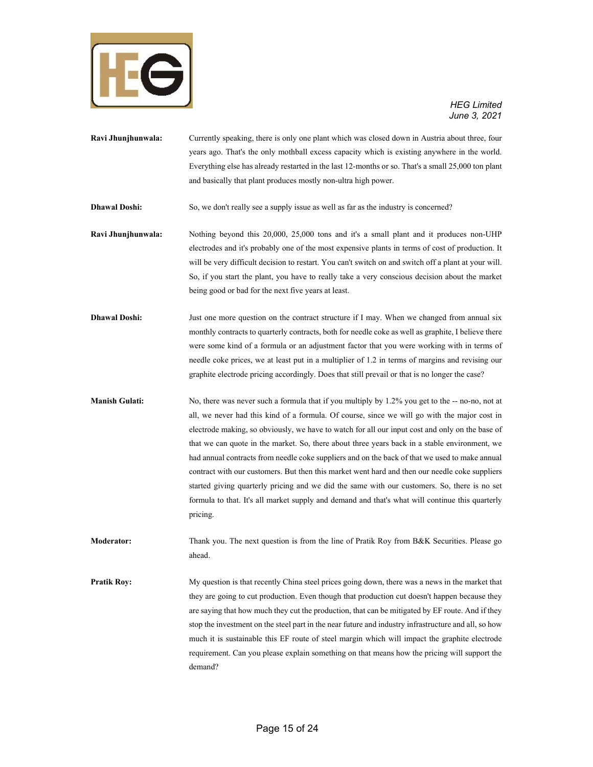

- **Ravi Jhunjhunwala:** Currently speaking, there is only one plant which was closed down in Austria about three, four years ago. That's the only mothball excess capacity which is existing anywhere in the world. Everything else has already restarted in the last 12-months or so. That's a small 25,000 ton plant and basically that plant produces mostly non-ultra high power.
- **Dhawal Doshi:** So, we don't really see a supply issue as well as far as the industry is concerned?
- **Ravi Jhunjhunwala:** Nothing beyond this 20,000, 25,000 tons and it's a small plant and it produces non-UHP electrodes and it's probably one of the most expensive plants in terms of cost of production. It will be very difficult decision to restart. You can't switch on and switch off a plant at your will. So, if you start the plant, you have to really take a very conscious decision about the market being good or bad for the next five years at least.
- **Dhawal Doshi:** Just one more question on the contract structure if I may. When we changed from annual six monthly contracts to quarterly contracts, both for needle coke as well as graphite, I believe there were some kind of a formula or an adjustment factor that you were working with in terms of needle coke prices, we at least put in a multiplier of 1.2 in terms of margins and revising our graphite electrode pricing accordingly. Does that still prevail or that is no longer the case?
- **Manish Gulati:** No, there was never such a formula that if you multiply by 1.2% you get to the -- no-no, not at all, we never had this kind of a formula. Of course, since we will go with the major cost in electrode making, so obviously, we have to watch for all our input cost and only on the base of that we can quote in the market. So, there about three years back in a stable environment, we had annual contracts from needle coke suppliers and on the back of that we used to make annual contract with our customers. But then this market went hard and then our needle coke suppliers started giving quarterly pricing and we did the same with our customers. So, there is no set formula to that. It's all market supply and demand and that's what will continue this quarterly pricing.
- **Moderator:** Thank you. The next question is from the line of Pratik Roy from B&K Securities. Please go ahead.
- **Pratik Roy:** My question is that recently China steel prices going down, there was a news in the market that they are going to cut production. Even though that production cut doesn't happen because they are saying that how much they cut the production, that can be mitigated by EF route. And if they stop the investment on the steel part in the near future and industry infrastructure and all, so how much it is sustainable this EF route of steel margin which will impact the graphite electrode requirement. Can you please explain something on that means how the pricing will support the demand?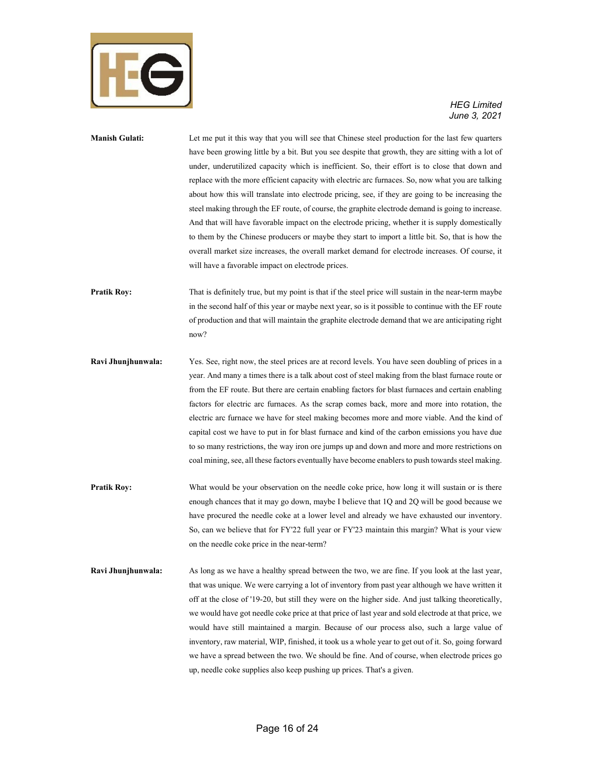

## **Manish Gulati:** Let me put it this way that you will see that Chinese steel production for the last few quarters have been growing little by a bit. But you see despite that growth, they are sitting with a lot of under, underutilized capacity which is inefficient. So, their effort is to close that down and replace with the more efficient capacity with electric arc furnaces. So, now what you are talking about how this will translate into electrode pricing, see, if they are going to be increasing the steel making through the EF route, of course, the graphite electrode demand is going to increase. And that will have favorable impact on the electrode pricing, whether it is supply domestically to them by the Chinese producers or maybe they start to import a little bit. So, that is how the overall market size increases, the overall market demand for electrode increases. Of course, it will have a favorable impact on electrode prices.

**Pratik Roy:** That is definitely true, but my point is that if the steel price will sustain in the near-term maybe in the second half of this year or maybe next year, so is it possible to continue with the EF route of production and that will maintain the graphite electrode demand that we are anticipating right now?

**Ravi Jhunjhunwala:** Yes. See, right now, the steel prices are at record levels. You have seen doubling of prices in a year. And many a times there is a talk about cost of steel making from the blast furnace route or from the EF route. But there are certain enabling factors for blast furnaces and certain enabling factors for electric arc furnaces. As the scrap comes back, more and more into rotation, the electric arc furnace we have for steel making becomes more and more viable. And the kind of capital cost we have to put in for blast furnace and kind of the carbon emissions you have due to so many restrictions, the way iron ore jumps up and down and more and more restrictions on coal mining, see, all these factors eventually have become enablers to push towards steel making.

**Pratik Roy:** What would be your observation on the needle coke price, how long it will sustain or is there enough chances that it may go down, maybe I believe that 1Q and 2Q will be good because we have procured the needle coke at a lower level and already we have exhausted our inventory. So, can we believe that for FY'22 full year or FY'23 maintain this margin? What is your view on the needle coke price in the near-term?

**Ravi Jhunjhunwala:** As long as we have a healthy spread between the two, we are fine. If you look at the last year, that was unique. We were carrying a lot of inventory from past year although we have written it off at the close of '19-20, but still they were on the higher side. And just talking theoretically, we would have got needle coke price at that price of last year and sold electrode at that price, we would have still maintained a margin. Because of our process also, such a large value of inventory, raw material, WIP, finished, it took us a whole year to get out of it. So, going forward we have a spread between the two. We should be fine. And of course, when electrode prices go up, needle coke supplies also keep pushing up prices. That's a given.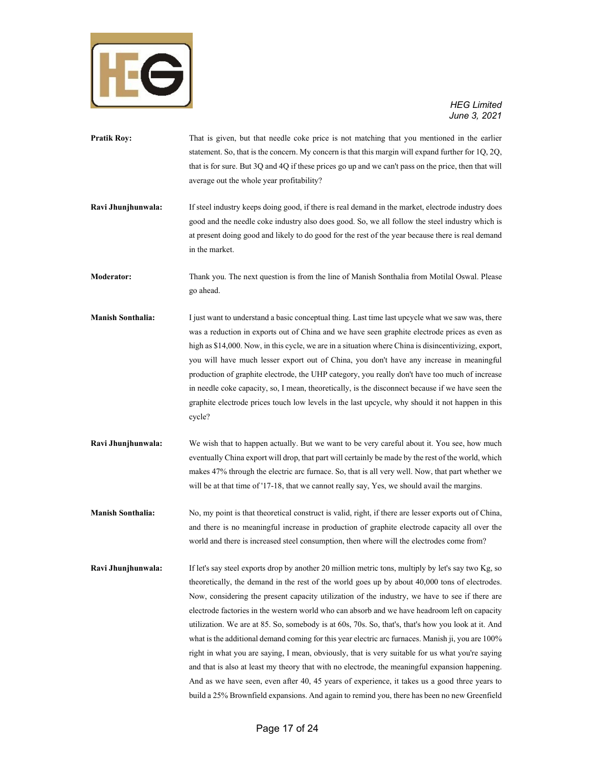

- **Pratik Roy:** That is given, but that needle coke price is not matching that you mentioned in the earlier statement. So, that is the concern. My concern is that this margin will expand further for 1Q, 2Q, that is for sure. But 3Q and 4Q if these prices go up and we can't pass on the price, then that will average out the whole year profitability?
- **Ravi Jhunjhunwala:** If steel industry keeps doing good, if there is real demand in the market, electrode industry does good and the needle coke industry also does good. So, we all follow the steel industry which is at present doing good and likely to do good for the rest of the year because there is real demand in the market.
- **Moderator:** Thank you. The next question is from the line of Manish Sonthalia from Motilal Oswal. Please go ahead.
- **Manish Sonthalia:** I just want to understand a basic conceptual thing. Last time last upcycle what we saw was, there was a reduction in exports out of China and we have seen graphite electrode prices as even as high as \$14,000. Now, in this cycle, we are in a situation where China is disincentivizing, export, you will have much lesser export out of China, you don't have any increase in meaningful production of graphite electrode, the UHP category, you really don't have too much of increase in needle coke capacity, so, I mean, theoretically, is the disconnect because if we have seen the graphite electrode prices touch low levels in the last upcycle, why should it not happen in this cycle?
- **Ravi Jhunjhunwala:** We wish that to happen actually. But we want to be very careful about it. You see, how much eventually China export will drop, that part will certainly be made by the rest of the world, which makes 47% through the electric arc furnace. So, that is all very well. Now, that part whether we will be at that time of '17-18, that we cannot really say, Yes, we should avail the margins.
- **Manish Sonthalia:** No, my point is that theoretical construct is valid, right, if there are lesser exports out of China, and there is no meaningful increase in production of graphite electrode capacity all over the world and there is increased steel consumption, then where will the electrodes come from?
- **Ravi Jhunjhunwala:** If let's say steel exports drop by another 20 million metric tons, multiply by let's say two Kg, so theoretically, the demand in the rest of the world goes up by about 40,000 tons of electrodes. Now, considering the present capacity utilization of the industry, we have to see if there are electrode factories in the western world who can absorb and we have headroom left on capacity utilization. We are at 85. So, somebody is at 60s, 70s. So, that's, that's how you look at it. And what is the additional demand coming for this year electric arc furnaces. Manish ji, you are 100% right in what you are saying, I mean, obviously, that is very suitable for us what you're saying and that is also at least my theory that with no electrode, the meaningful expansion happening. And as we have seen, even after 40, 45 years of experience, it takes us a good three years to build a 25% Brownfield expansions. And again to remind you, there has been no new Greenfield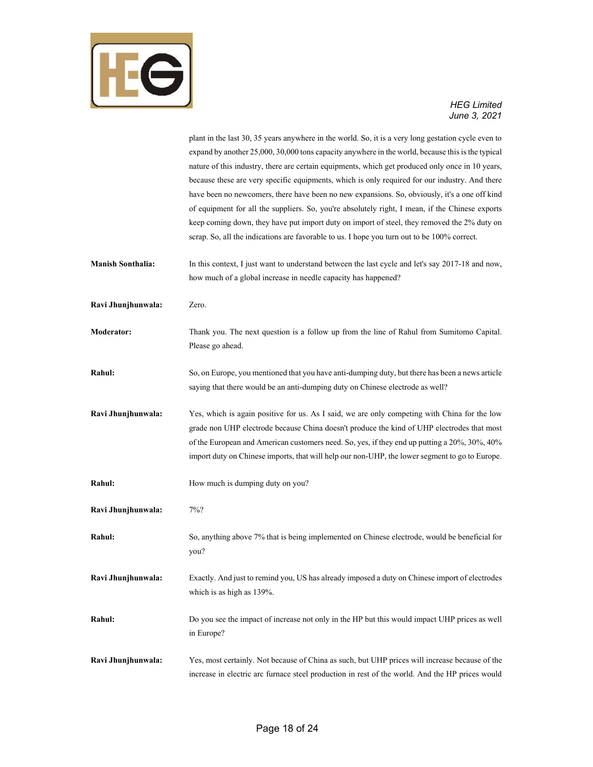

# *June 3, 2021*

|                          | plant in the last 30, 35 years anywhere in the world. So, it is a very long gestation cycle even to<br>expand by another 25,000, 30,000 tons capacity anywhere in the world, because this is the typical |
|--------------------------|----------------------------------------------------------------------------------------------------------------------------------------------------------------------------------------------------------|
|                          | nature of this industry, there are certain equipments, which get produced only once in 10 years,                                                                                                         |
|                          | because these are very specific equipments, which is only required for our industry. And there                                                                                                           |
|                          | have been no newcomers, there have been no new expansions. So, obviously, it's a one off kind                                                                                                            |
|                          | of equipment for all the suppliers. So, you're absolutely right, I mean, if the Chinese exports                                                                                                          |
|                          | keep coming down, they have put import duty on import of steel, they removed the 2% duty on                                                                                                              |
|                          | scrap. So, all the indications are favorable to us. I hope you turn out to be 100% correct.                                                                                                              |
| <b>Manish Sonthalia:</b> | In this context, I just want to understand between the last cycle and let's say 2017-18 and now,                                                                                                         |
|                          | how much of a global increase in needle capacity has happened?                                                                                                                                           |
| Ravi Jhunjhunwala:       | Zero.                                                                                                                                                                                                    |
| Moderator:               | Thank you. The next question is a follow up from the line of Rahul from Sumitomo Capital.                                                                                                                |
|                          | Please go ahead.                                                                                                                                                                                         |
| Rahul:                   | So, on Europe, you mentioned that you have anti-dumping duty, but there has been a news article                                                                                                          |
|                          | saying that there would be an anti-dumping duty on Chinese electrode as well?                                                                                                                            |
| Ravi Jhunjhunwala:       | Yes, which is again positive for us. As I said, we are only competing with China for the low                                                                                                             |
|                          | grade non UHP electrode because China doesn't produce the kind of UHP electrodes that most                                                                                                               |
|                          | of the European and American customers need. So, yes, if they end up putting a 20%, 30%, 40%                                                                                                             |
|                          | import duty on Chinese imports, that will help our non-UHP, the lower segment to go to Europe.                                                                                                           |
| Rahul:                   | How much is dumping duty on you?                                                                                                                                                                         |
| Ravi Jhunjhunwala:       | $7\%$ ?                                                                                                                                                                                                  |
| Rahul:                   | So, anything above 7% that is being implemented on Chinese electrode, would be beneficial for                                                                                                            |
|                          | you?                                                                                                                                                                                                     |
| Ravi Jhunjhunwala:       | Exactly. And just to remind you, US has already imposed a duty on Chinese import of electrodes                                                                                                           |
|                          | which is as high as 139%.                                                                                                                                                                                |
| Rahul:                   | Do you see the impact of increase not only in the HP but this would impact UHP prices as well                                                                                                            |
|                          | in Europe?                                                                                                                                                                                               |
| Ravi Jhunjhunwala:       | Yes, most certainly. Not because of China as such, but UHP prices will increase because of the                                                                                                           |
|                          | increase in electric arc furnace steel production in rest of the world. And the HP prices would                                                                                                          |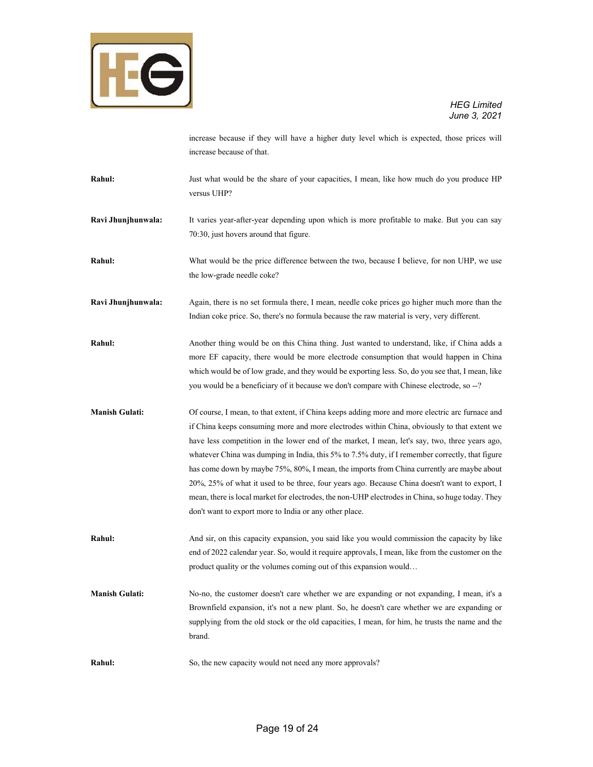

increase because if they will have a higher duty level which is expected, those prices will increase because of that.

**Rahul:** Just what would be the share of your capacities, I mean, like how much do you produce HP versus UHP?

**Ravi Jhunjhunwala:** It varies year-after-year depending upon which is more profitable to make. But you can say 70:30, just hovers around that figure.

**Rahul:** What would be the price difference between the two, because I believe, for non UHP, we use the low-grade needle coke?

**Ravi Jhunjhunwala:** Again, there is no set formula there, I mean, needle coke prices go higher much more than the Indian coke price. So, there's no formula because the raw material is very, very different.

**Rahul:** Another thing would be on this China thing. Just wanted to understand, like, if China adds a more EF capacity, there would be more electrode consumption that would happen in China which would be of low grade, and they would be exporting less. So, do you see that, I mean, like you would be a beneficiary of it because we don't compare with Chinese electrode, so --?

**Manish Gulati:** Of course, I mean, to that extent, if China keeps adding more and more electric arc furnace and if China keeps consuming more and more electrodes within China, obviously to that extent we have less competition in the lower end of the market, I mean, let's say, two, three years ago, whatever China was dumping in India, this 5% to 7.5% duty, if I remember correctly, that figure has come down by maybe 75%, 80%, I mean, the imports from China currently are maybe about 20%, 25% of what it used to be three, four years ago. Because China doesn't want to export, I mean, there is local market for electrodes, the non-UHP electrodes in China, so huge today. They don't want to export more to India or any other place.

**Rahul:** And sir, on this capacity expansion, you said like you would commission the capacity by like end of 2022 calendar year. So, would it require approvals, I mean, like from the customer on the product quality or the volumes coming out of this expansion would…

- **Manish Gulati:** No-no, the customer doesn't care whether we are expanding or not expanding, I mean, it's a Brownfield expansion, it's not a new plant. So, he doesn't care whether we are expanding or supplying from the old stock or the old capacities, I mean, for him, he trusts the name and the brand.
- **Rahul:** So, the new capacity would not need any more approvals?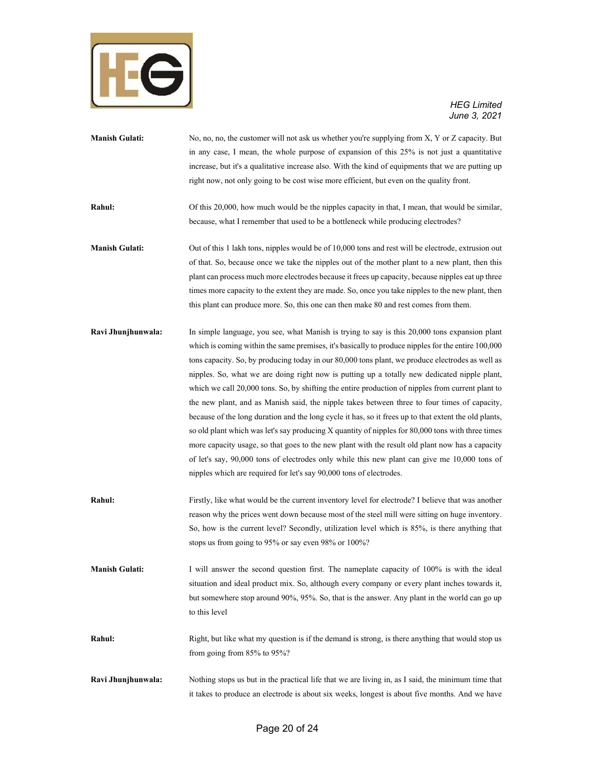

- **Manish Gulati:** No, no, no, the customer will not ask us whether you're supplying from X, Y or Z capacity. But in any case, I mean, the whole purpose of expansion of this 25% is not just a quantitative increase, but it's a qualitative increase also. With the kind of equipments that we are putting up right now, not only going to be cost wise more efficient, but even on the quality front. **Rahul:** Of this 20,000, how much would be the nipples capacity in that, I mean, that would be similar, because, what I remember that used to be a bottleneck while producing electrodes? **Manish Gulati:** Out of this 1 lakh tons, nipples would be of 10,000 tons and rest will be electrode, extrusion out of that. So, because once we take the nipples out of the mother plant to a new plant, then this plant can process much more electrodes because it frees up capacity, because nipples eat up three times more capacity to the extent they are made. So, once you take nipples to the new plant, then this plant can produce more. So, this one can then make 80 and rest comes from them.
- **Ravi Jhunjhunwala:** In simple language, you see, what Manish is trying to say is this 20,000 tons expansion plant which is coming within the same premises, it's basically to produce nipples for the entire 100,000 tons capacity. So, by producing today in our 80,000 tons plant, we produce electrodes as well as nipples. So, what we are doing right now is putting up a totally new dedicated nipple plant, which we call 20,000 tons. So, by shifting the entire production of nipples from current plant to the new plant, and as Manish said, the nipple takes between three to four times of capacity, because of the long duration and the long cycle it has, so it frees up to that extent the old plants, so old plant which was let's say producing X quantity of nipples for 80,000 tons with three times more capacity usage, so that goes to the new plant with the result old plant now has a capacity of let's say, 90,000 tons of electrodes only while this new plant can give me 10,000 tons of nipples which are required for let's say 90,000 tons of electrodes.
- **Rahul:** Firstly, like what would be the current inventory level for electrode? I believe that was another reason why the prices went down because most of the steel mill were sitting on huge inventory. So, how is the current level? Secondly, utilization level which is 85%, is there anything that stops us from going to 95% or say even 98% or 100%?
- **Manish Gulati:** I will answer the second question first. The nameplate capacity of 100% is with the ideal situation and ideal product mix. So, although every company or every plant inches towards it, but somewhere stop around 90%, 95%. So, that is the answer. Any plant in the world can go up to this level
- **Rahul:** Right, but like what my question is if the demand is strong, is there anything that would stop us from going from 85% to 95%?
- **Ravi Jhunjhunwala:** Nothing stops us but in the practical life that we are living in, as I said, the minimum time that it takes to produce an electrode is about six weeks, longest is about five months. And we have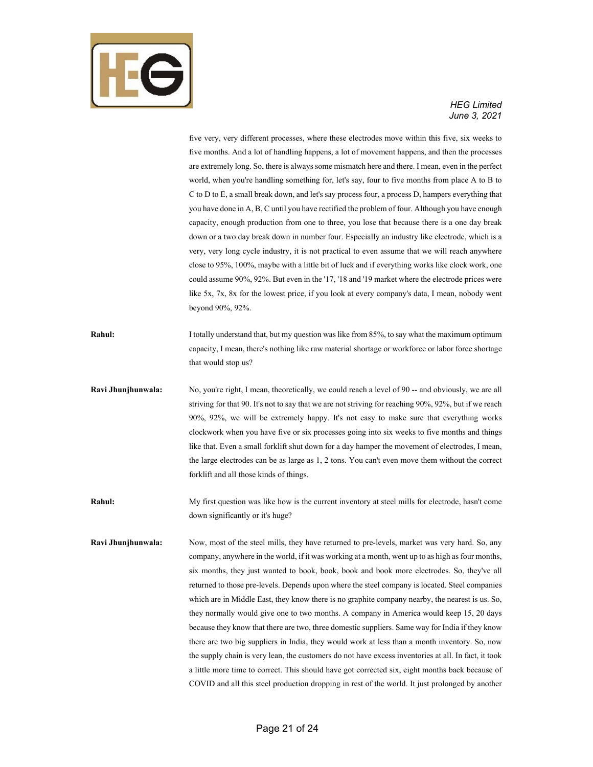

five very, very different processes, where these electrodes move within this five, six weeks to five months. And a lot of handling happens, a lot of movement happens, and then the processes are extremely long. So, there is always some mismatch here and there. I mean, even in the perfect world, when you're handling something for, let's say, four to five months from place A to B to C to D to E, a small break down, and let's say process four, a process D, hampers everything that you have done in A, B, C until you have rectified the problem of four. Although you have enough capacity, enough production from one to three, you lose that because there is a one day break down or a two day break down in number four. Especially an industry like electrode, which is a very, very long cycle industry, it is not practical to even assume that we will reach anywhere close to 95%, 100%, maybe with a little bit of luck and if everything works like clock work, one could assume 90%, 92%. But even in the '17, '18 and '19 market where the electrode prices were like 5x, 7x, 8x for the lowest price, if you look at every company's data, I mean, nobody went beyond 90%, 92%. **Rahul:** I totally understand that, but my question was like from 85%, to say what the maximum optimum capacity, I mean, there's nothing like raw material shortage or workforce or labor force shortage that would stop us? Ravi Jhunjhunwala: No, you're right, I mean, theoretically, we could reach a level of 90 -- and obviously, we are all striving for that 90. It's not to say that we are not striving for reaching 90%, 92%, but if we reach 90%, 92%, we will be extremely happy. It's not easy to make sure that everything works clockwork when you have five or six processes going into six weeks to five months and things like that. Even a small forklift shut down for a day hamper the movement of electrodes, I mean, the large electrodes can be as large as 1, 2 tons. You can't even move them without the correct forklift and all those kinds of things. **Rahul:** My first question was like how is the current inventory at steel mills for electrode, hasn't come down significantly or it's huge? **Ravi Jhunjhunwala:** Now, most of the steel mills, they have returned to pre-levels, market was very hard. So, any company, anywhere in the world, if it was working at a month, went up to as high as four months, six months, they just wanted to book, book, book and book more electrodes. So, they've all returned to those pre-levels. Depends upon where the steel company is located. Steel companies which are in Middle East, they know there is no graphite company nearby, the nearest is us. So,

> they normally would give one to two months. A company in America would keep 15, 20 days because they know that there are two, three domestic suppliers. Same way for India if they know there are two big suppliers in India, they would work at less than a month inventory. So, now the supply chain is very lean, the customers do not have excess inventories at all. In fact, it took a little more time to correct. This should have got corrected six, eight months back because of COVID and all this steel production dropping in rest of the world. It just prolonged by another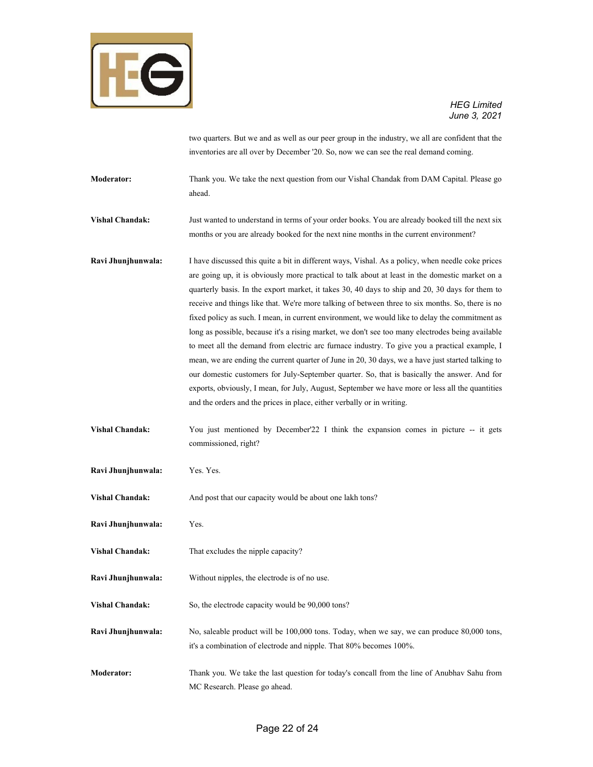

two quarters. But we and as well as our peer group in the industry, we all are confident that the inventories are all over by December '20. So, now we can see the real demand coming.

**Moderator:** Thank you. We take the next question from our Vishal Chandak from DAM Capital. Please go ahead.

**Vishal Chandak:** Just wanted to understand in terms of your order books. You are already booked till the next six months or you are already booked for the next nine months in the current environment?

**Ravi Jhunjhunwala:** I have discussed this quite a bit in different ways, Vishal. As a policy, when needle coke prices are going up, it is obviously more practical to talk about at least in the domestic market on a quarterly basis. In the export market, it takes 30, 40 days to ship and 20, 30 days for them to receive and things like that. We're more talking of between three to six months. So, there is no fixed policy as such. I mean, in current environment, we would like to delay the commitment as long as possible, because it's a rising market, we don't see too many electrodes being available to meet all the demand from electric arc furnace industry. To give you a practical example, I mean, we are ending the current quarter of June in 20, 30 days, we a have just started talking to our domestic customers for July-September quarter. So, that is basically the answer. And for exports, obviously, I mean, for July, August, September we have more or less all the quantities and the orders and the prices in place, either verbally or in writing.

- **Vishal Chandak:** You just mentioned by December'22 I think the expansion comes in picture -- it gets commissioned, right?
- **Ravi Jhunjhunwala:** Yes. Yes.
- Vishal Chandak: And post that our capacity would be about one lakh tons?
- **Ravi Jhunjhunwala:** Yes.
- **Vishal Chandak:** That excludes the nipple capacity?
- **Ravi Jhunjhunwala:** Without nipples, the electrode is of no use.
- **Vishal Chandak:** So, the electrode capacity would be 90,000 tons?
- **Ravi Jhunjhunwala:** No, saleable product will be 100,000 tons. Today, when we say, we can produce 80,000 tons, it's a combination of electrode and nipple. That 80% becomes 100%.
- **Moderator:** Thank you. We take the last question for today's concall from the line of Anubhav Sahu from MC Research. Please go ahead.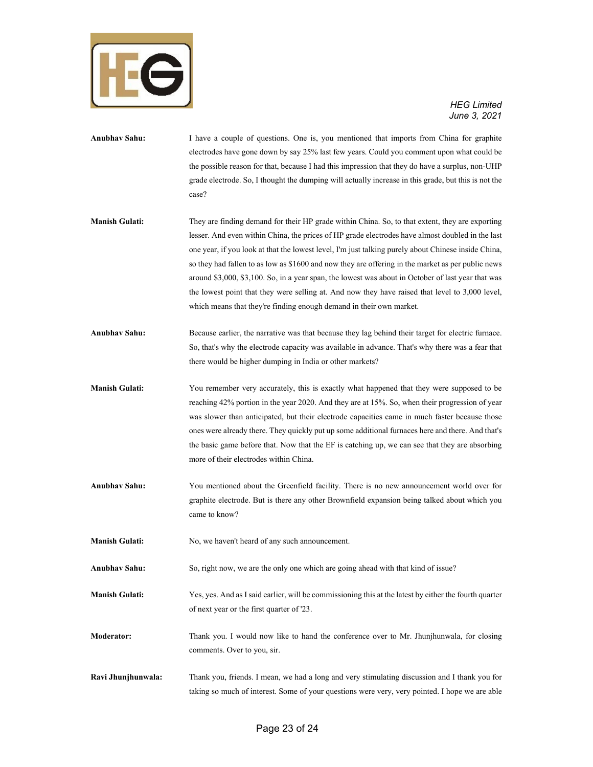

- **Anubhav Sahu:** I have a couple of questions. One is, you mentioned that imports from China for graphite electrodes have gone down by say 25% last few years. Could you comment upon what could be the possible reason for that, because I had this impression that they do have a surplus, non-UHP grade electrode. So, I thought the dumping will actually increase in this grade, but this is not the case?
- **Manish Gulati:** They are finding demand for their HP grade within China. So, to that extent, they are exporting lesser. And even within China, the prices of HP grade electrodes have almost doubled in the last one year, if you look at that the lowest level, I'm just talking purely about Chinese inside China, so they had fallen to as low as \$1600 and now they are offering in the market as per public news around \$3,000, \$3,100. So, in a year span, the lowest was about in October of last year that was the lowest point that they were selling at. And now they have raised that level to 3,000 level, which means that they're finding enough demand in their own market.
- **Anubhav Sahu:** Because earlier, the narrative was that because they lag behind their target for electric furnace. So, that's why the electrode capacity was available in advance. That's why there was a fear that there would be higher dumping in India or other markets?
- **Manish Gulati:** You remember very accurately, this is exactly what happened that they were supposed to be reaching 42% portion in the year 2020. And they are at 15%. So, when their progression of year was slower than anticipated, but their electrode capacities came in much faster because those ones were already there. They quickly put up some additional furnaces here and there. And that's the basic game before that. Now that the EF is catching up, we can see that they are absorbing more of their electrodes within China.
- **Anubhav Sahu:** You mentioned about the Greenfield facility. There is no new announcement world over for graphite electrode. But is there any other Brownfield expansion being talked about which you came to know?
- **Manish Gulati:** No, we haven't heard of any such announcement.
- **Anubhav Sahu:** So, right now, we are the only one which are going ahead with that kind of issue?
- **Manish Gulati:** Yes, yes. And as I said earlier, will be commissioning this at the latest by either the fourth quarter of next year or the first quarter of '23.
- **Moderator:** Thank you. I would now like to hand the conference over to Mr. Jhunjhunwala, for closing comments. Over to you, sir.
- **Ravi Jhunjhunwala:** Thank you, friends. I mean, we had a long and very stimulating discussion and I thank you for taking so much of interest. Some of your questions were very, very pointed. I hope we are able